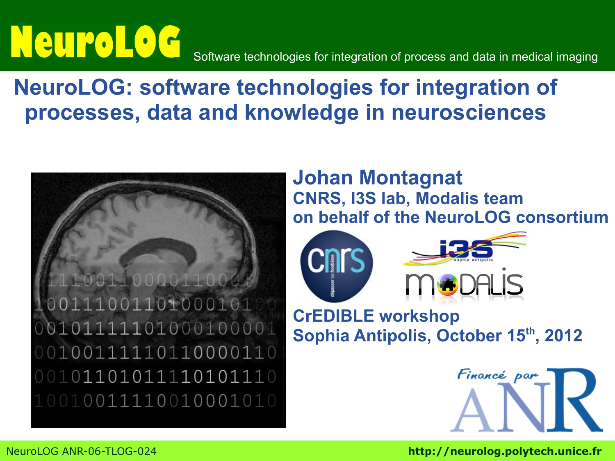# Neuro Log

Software technologies for integration of process and data in medical imaging

### **NeuroLOG: software technologies for integration of processes, data and knowledge in neurosciences**



### **Johan Montagnat CNRS, I3S lab, Modalis team on behalf of the NeuroLOG consortium**



**CrEDIBLE workshop Sophia Antipolis, October 15th, 2012**

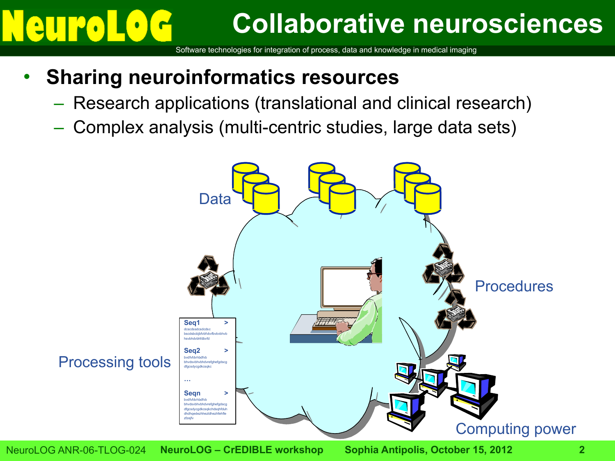# $|e|$

## **Collaborative neurosciences**

Software technologies for integration of process, data and knowledge in medical imaging

### • **Sharing neuroinformatics resources**

- Research applications (translational and clinical research)
- Complex analysis (multi-centric studies, large data sets)

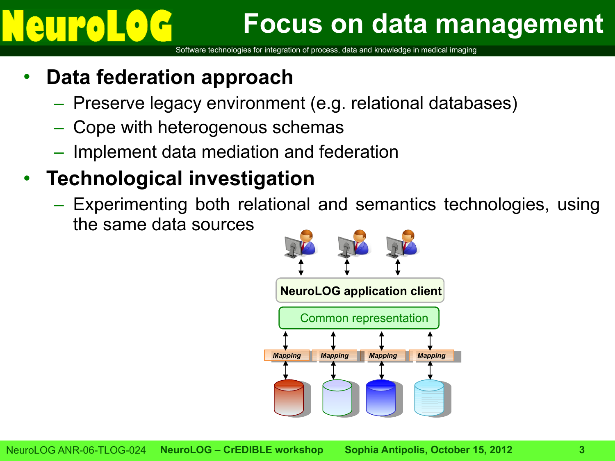## **Focus on data management**

Software technologies for integration of process, data and knowledge in medical imaging

### • **Data federation approach**

- Preserve legacy environment (e.g. relational databases)
- Cope with heterogenous schemas
- Implement data mediation and federation

### • **Technological investigation**

– Experimenting both relational and semantics technologies, using the same data sources

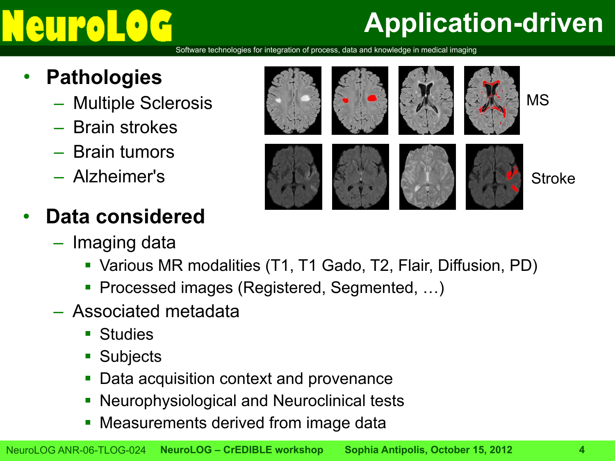# $||\cdot||$

# **Application-driven**

- **Pathologies**
	- Multiple Sclerosis
	- Brain strokes
	- Brain tumors
	- Alzheimer's
- **Data considered**
	- Imaging data



- Various MR modalities (T1, T1 Gado, T2, Flair, Diffusion, PD)
- Processed images (Registered, Segmented, …)
- Associated metadata
	- Studies
	- Subjects
	- Data acquisition context and provenance
	- Neurophysiological and Neuroclinical tests
	- Measurements derived from image data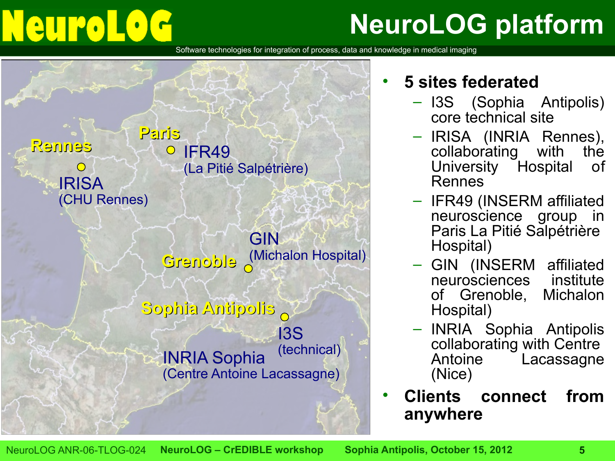# Neurol

# **NeuroLOG platform**

Software technologies for integration of process, data and knowledge in medical imaging



### • **5 sites federated**

- I3S (Sophia Antipolis) core technical site
- IRISA (INRIA Rennes),<br>collaborating with the collaborating with University Hospital of Rennes
- IFR49 (INSERM affiliated neuroscience group in Paris La Pitié Salpétrière Hospital)
- GIN (INSERM affiliated neurosciences institute of Grenoble, Michalon Hospital)
- INRIA Sophia Antipolis collaborating with Centre Antoine Lacassagne (Nice)
- **Clients connect from anywhere**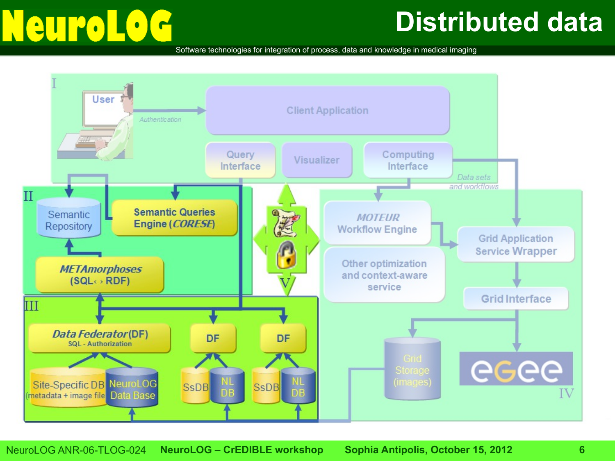# Neuro

## **Distributed data**

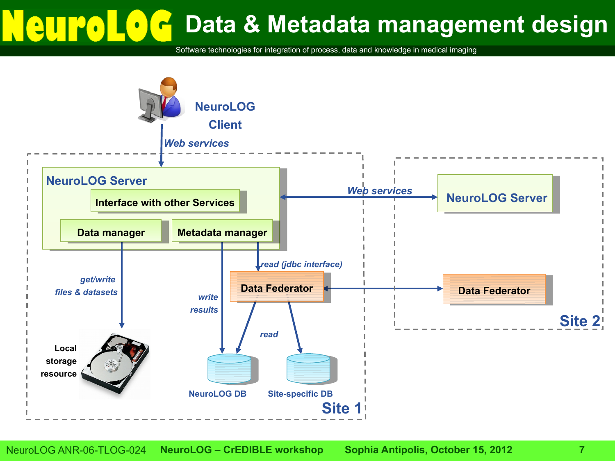# **Data & Metadata management design**

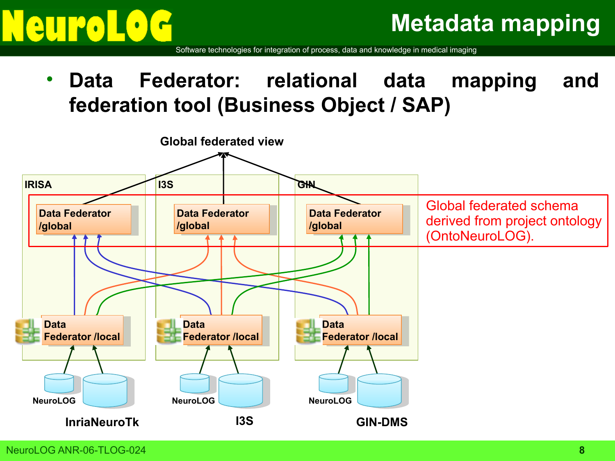

Software technologies for integration of process, data and knowledge in medical imaging

• **Data Federator: relational data mapping and federation tool (Business Object / SAP)**

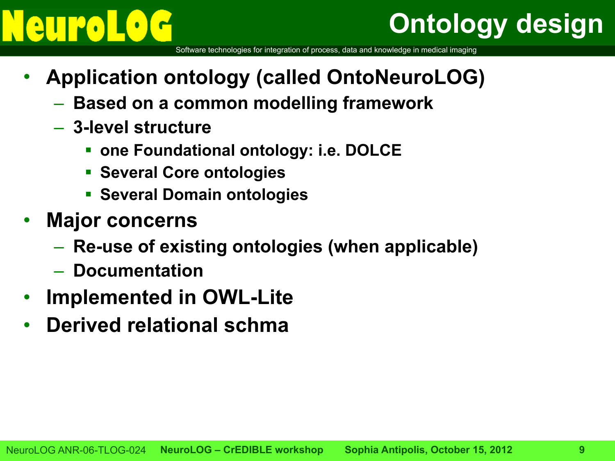# **Ontology design**

- **Application ontology (called OntoNeuroLOG)**
	- **Based on a common modelling framework**
	- **3-level structure**
		- **one Foundational ontology: i.e. DOLCE**
		- **Several Core ontologies**
		- **Several Domain ontologies**
- **Major concerns**
	- **Re-use of existing ontologies (when applicable)**
	- **Documentation**
- **Implemented in OWL-Lite**
- **Derived relational schma**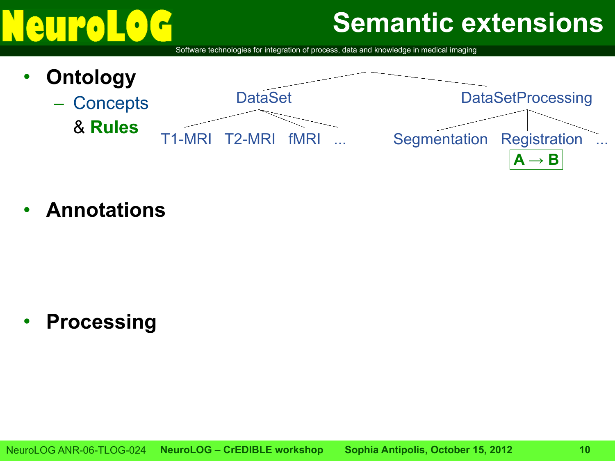## **Semantic extensions**

Software technologies for integration of process, data and knowledge in medical imaging



• **Annotations**

• **Processing**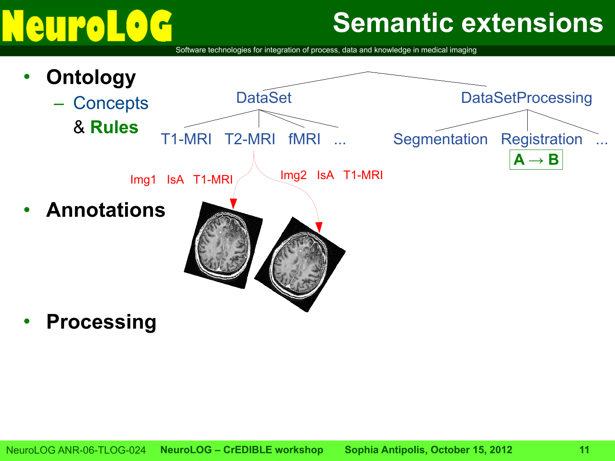# e

## **Semantic extensions**

Software technologies for integration of process, data and knowledge in medical imaging



• **Processing**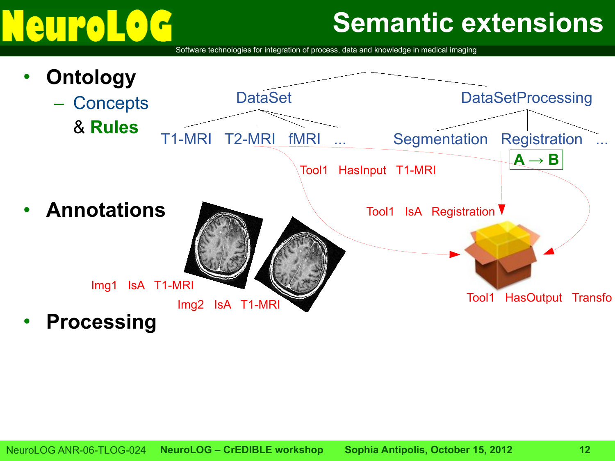# **euro**

## **Semantic extensions**

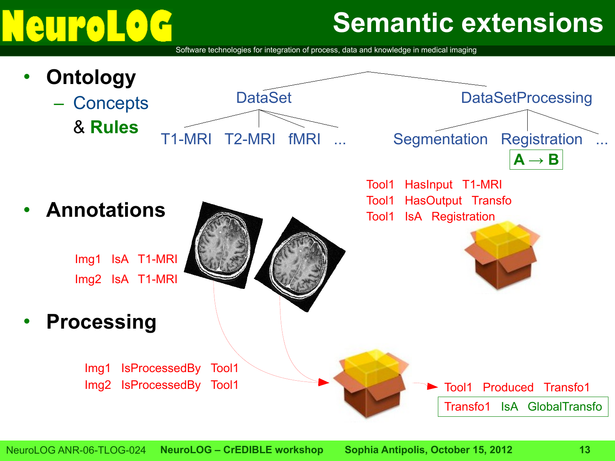# **eurol**

## **Semantic extensions**

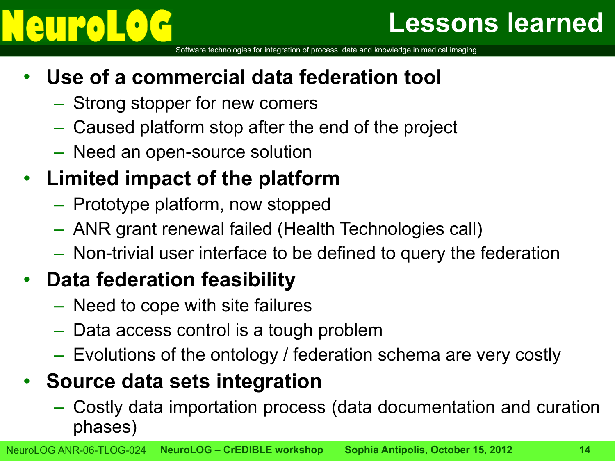## **Lessons learned**

Software technologies for integration of process, data and knowledge in medical imaging

### • **Use of a commercial data federation tool**

- Strong stopper for new comers
- Caused platform stop after the end of the project
- Need an open-source solution

### • **Limited impact of the platform**

- Prototype platform, now stopped
- ANR grant renewal failed (Health Technologies call)
- Non-trivial user interface to be defined to query the federation

### • **Data federation feasibility**

- Need to cope with site failures
- Data access control is a tough problem
- Evolutions of the ontology / federation schema are very costly

### • **Source data sets integration**

– Costly data importation process (data documentation and curation phases)